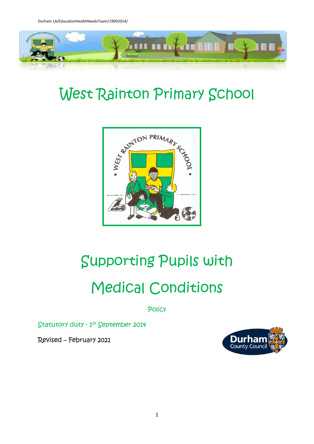

# West Rainton Primary School



# Supporting Pupils with Medical Conditions

**Policy** 

Statutory duty - 1 st September 2014

Revised – February 2021

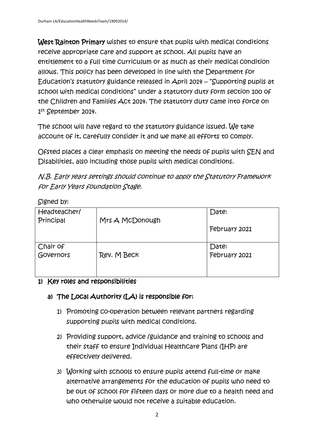West Rainton Primary wishes to ensure that pupils with medical conditions receive appropriate care and support at school. All pupils have an entitlement to a full time curriculum or as much as their medical condition allows. This policy has been developed in line with the Department for Education's statutory guidance released in April 2014 – "Supporting pupils at school with medical conditions" under a statutory duty form section 100 of the Children and Families Act 2014. The statutory duty came into force on 1 st September 2014.

The school will have regard to the statutory guidance issued. We take account of it, carefully consider it and we make all efforts to comply.

Ofsted places a clear emphasis on meeting the needs of pupils with SEN and Disabilities, also including those pupils with medical conditions.

N.B. Early years settings should continue to apply the Statutory Framework for Early Years foundation Stage.

Signed by:

| Headteacher/<br>Principal | Mrs A McDonough | Date:                  |
|---------------------------|-----------------|------------------------|
|                           |                 | February 2021          |
| Chair of<br>Governors     | Rev. M Beck     | Date:<br>February 2021 |

# 1) Key roles and responsibilities

# a) The Local Authority (LA) is responsible for:

- 1) Promoting co-operation between relevant partners regarding supporting pupils with medical conditions.
- 2) Providing support, advice /guidance and training to schools and their staff to ensure Individual Healthcare Plans (IHP) are effectively delivered.
- 3) Working with schools to ensure pupils attend full-time or make alternative arrangements for the education of pupils who need to be out of school for fifteen days or more due to a health need and who otherwise would not receive a suitable education.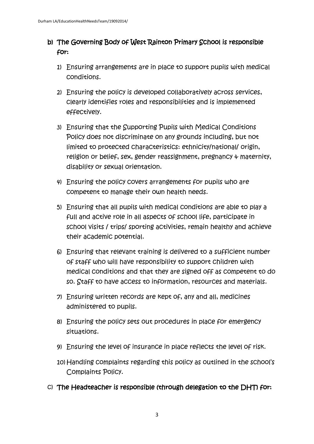# b) The Governing Body of West Rainton Primary School is responsible for:

- 1) Ensuring arrangements are in place to support pupils with medical conditions.
- 2) Ensuring the policy is developed collaboratively across services, clearly identifies roles and responsibilities and is implemented effectively.
- 3) Ensuring that the Supporting Pupils with Medical Conditions Policy does not discriminate on any grounds including, but not limited to protected characteristics: ethnicity/national/ origin, religion or belief, sex, gender reassignment, pregnancy  $\phi$  maternity, disability or sexual orientation.
- 4) Ensuring the policy covers arrangements for pupils who are competent to manage their own health needs.
- 5) Ensuring that all pupils with medical conditions are able to play a full and active role in all aspects of school life, participate in school visits / trips/ sporting activities, remain healthy and achieve their academic potential.
- 6) Ensuring that relevant training is delivered to a sufficient number of staff who will have responsibility to support children with medical conditions and that they are signed off as competent to do so. Staff to have access to information, resources and materials.
- 7) Ensuring written records are kept of, any and all, medicines administered to pupils.
- 8) Ensuring the policy sets out procedures in place for emergency situations.
- 9) Ensuring the level of insurance in place reflects the level of risk.
- 10) Handling complaints regarding this policy as outlined in the school's Complaints Policy.
- c) The Headteacher is responsible (through delegation to the DHT) for: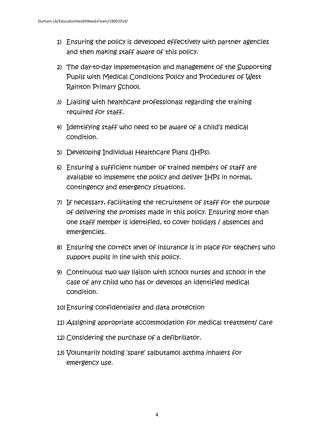- 1) Ensuring the policy is developed effectively with partner agencies and then making staff aware of this policy.
- 2) The day-to-day implementation and management of the Supporting Pupils with Medical Conditions Policy and Procedures of West Rainton Primary School.
- 3) Liaising with healthcare professionals regarding the training required for staff.
- 4) Identifying staff who need to be aware of a child's medical condition.
- 5) Developing Individual Healthcare Plans (IHPs).
- 6) Ensuring a sufficient number of trained members of staff are available to implement the policy and deliver IHPs in normal, contingency and emergency situations.
- 7) If necessary, facilitating the recruitment of staff for the purpose of delivering the promises made in this policy. Ensuring more than one staff member is identified, to cover holidays / absences and emergencies.
- 8) Ensuring the correct level of insurance is in place for teachers who support pupils in line with this policy.
- 9) Continuous two way liaison with school nurses and school in the case of any child who has or develops an identified medical condition.
- 10) Ensuring confidentiality and data protection
- 11) Assigning appropriate accommodation for medical treatment/ care
- 12) Considering the purchase of a defibrillator.
- 13) Voluntarily holding 'spare' salbutamol asthma inhalers for emergency use.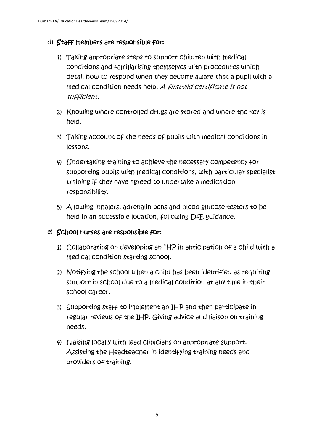# d) Staff members are responsible for:

- 1) Taking appropriate steps to support children with medical conditions and familiarising themselves with procedures which detail how to respond when they become aware that a pupil with a medical condition needs help. A first-aid certificate is not sufficient.
- 2) Knowing where controlled drugs are stored and where the key is held.
- 3) Taking account of the needs of pupils with medical conditions in lessons.
- 4) Undertaking training to achieve the necessary competency for supporting pupils with medical conditions, with particular specialist training if they have agreed to undertake a medication responsibility.
- 5) Allowing inhalers, adrenalin pens and blood glucose testers to be held in an accessible location, following DfE guidance.

# e) School nurses are responsible for:

- 1) Collaborating on developing an IHP in anticipation of a child with a medical condition starting school.
- 2) Notifying the school when a child has been identified as requiring support in school due to a medical condition at any time in their school career.
- 3) Supporting staff to implement an IHP and then participate in regular reviews of the IHP. Giving advice and liaison on training needs.
- 4) Liaising locally with lead clinicians on appropriate support. Assisting the Headteacher in identifying training needs and providers of training.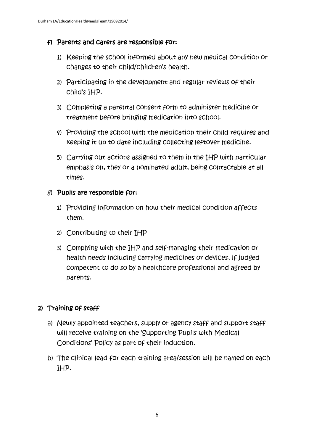# f) Parents and carers are responsible for:

- 1) Keeping the school informed about any new medical condition or changes to their child/children's health.
- 2) Participating in the development and regular reviews of their child's IHP.
- 3) Completing a parental consent form to administer medicine or treatment before bringing medication into school.
- 4) Providing the school with the medication their child requires and keeping it up to date including collecting leftover medicine.
- 5) Carrying out actions assigned to them in the IHP with particular emphasis on, they or a nominated adult, being contactable at all times.

# g) Pupils are responsible for:

- 1) Providing information on how their medical condition affects them.
- 2) Contributing to their IHP
- 3) Complying with the IHP and self-managing their medication or health needs including carrying medicines or devices, if judged competent to do so by a healthcare professional and agreed by parents.

# 2) Training of staff

- a) Newly appointed teachers, supply or agency staff and support staff will receive training on the 'Supporting Pupils with Medical Conditions' Policy as part of their induction.
- b) The clinical lead for each training area/session will be named on each IHP.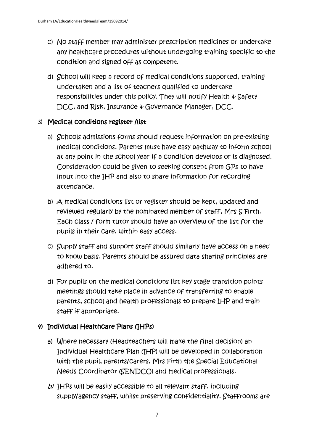- c) No staff member may administer prescription medicines or undertake any healthcare procedures without undergoing training specific to the condition and signed off as competent.
- d) School will keep a record of medical conditions supported, training undertaken and a list of teachers qualified to undertake responsibilities under this policy. They will notify Health  $\psi$  Safety DCC, and Risk, Insurance & Governance Manager, DCC.

# 3) Medical conditions register /list

- a) Schools admissions forms should request information on pre-existing medical conditions. Parents must have easy pathway to inform school at any point in the school year if a condition develops or is diagnosed. Consideration could be given to seeking consent from GPs to have input into the IHP and also to share information for recording attendance.
- b) A medical conditions list or register should be kept, updated and reviewed regularly by the nominated member of staff, Mrs S Firth. Each class / form tutor should have an overview of the list for the pupils in their care, within easy access.
- c) Supply staff and support staff should similarly have access on a need to know basis. Parents should be assured data sharing principles are adhered to.
- d) For pupils on the medical conditions list key stage transition points meetings should take place in advance of transferring to enable parents, school and health professionals to prepare IHP and train staff if appropriate.

# 4) Individual Healthcare Plans (IHPs)

- a) Where necessary (Headteachers will make the final decision) an Individual Healthcare Plan (IHP) will be developed in collaboration with the pupil, parents/carers, Mrs Firth the Special Educational Needs Coordinator (SENDCO) and medical professionals.
- $b$ ) IHPs will be easily accessible to all relevant staff, including supply/agency staff, whilst preserving confidentiality. Staffrooms are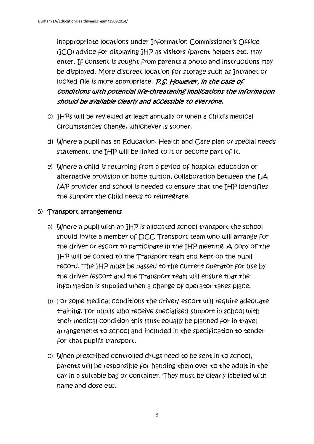inappropriate locations under Information Commissioner's Office (ICO) advice for displaying IHP as visitors /parent helpers etc. may enter. If consent is sought from parents a photo and instructions may be displayed. More discreet location for storage such as Intranet or locked file is more appropriate. P.S. However, in the case of conditions with potential life-threatening implications the information should be available clearly and accessible to everyone.

- c) IHPs will be reviewed at least annually or when a child's medical circumstances change, whichever is sooner.
- d) Where a pupil has an Education, Health and Care plan or special needs statement, the IHP will be linked to it or become part of it.
- e) Where a child is returning from a period of hospital education or alternative provision or home tuition, collaboration between the LA /AP provider and school is needed to ensure that the IHP identifies the support the child needs to reintegrate.

# 5) Transport arrangements

- a) Where a pupil with an IHP is allocated school transport the school should invite a member of DCC Transport team who will arrange for the driver or escort to participate in the IHP meeting. A copy of the IHP will be copied to the Transport team and kept on the pupil record. The IHP must be passed to the current operator for use by the driver /escort and the Transport team will ensure that the information is supplied when a change of operator takes place.
- b) For some medical conditions the driver/ escort will require adequate training. For pupils who receive specialised support in school with their medical condition this must equally be planned for in travel arrangements to school and included in the specification to tender for that pupil's transport.
- c) When prescribed controlled drugs need to be sent in to school, parents will be responsible for handing them over to the adult in the car in a suitable bag or container. They must be clearly labelled with name and dose etc.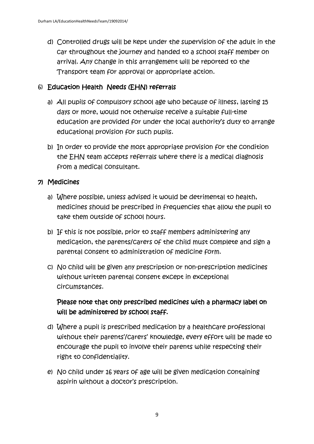d) Controlled drugs will be kept under the supervision of the adult in the car throughout the journey and handed to a school staff member on arrival. Any change in this arrangement will be reported to the Transport team for approval or appropriate action.

# 6) Education Health Needs (EHN) referrals

- a) All pupils of compulsory school age who because of illness, lasting 15 days or more, would not otherwise receive a suitable full-time education are provided for under the local authority's duty to arrange educational provision for such pupils.
- b) In order to provide the most appropriate provision for the condition the EHN team accepts referrals where there is a medical diagnosis from a medical consultant.

# 7) Medicines

- a) Where possible, unless advised it would be detrimental to health, medicines should be prescribed in frequencies that allow the pupil to take them outside of school hours.
- b) If this is not possible, prior to staff members administering any medication, the parents/carers of the child must complete and sign a parental consent to administration of medicine form.
- c) No child will be given any prescription or non-prescription medicines without written parental consent except in exceptional circumstances.

Please note that only prescribed medicines with a pharmacy label on will be administered by school staff.

- d) Where a pupil is prescribed medication by a healthcare professional without their parents'/carers' knowledge, every effort will be made to encourage the pupil to involve their parents while respecting their right to confidentiality.
- e) No child under 16 years of age will be given medication containing aspirin without a doctor's prescription.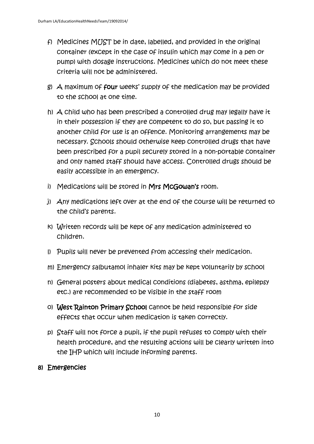- f) Medicines MUST be in date, labelled, and provided in the original container (except in the case of insulin which may come in a pen or pump) with dosage instructions. Medicines which do not meet these criteria will not be administered.
- g) A maximum of four weeks' supply of the medication may be provided to the school at one time.
- h) A child who has been prescribed a controlled drug may legally have it in their possession if they are competent to do so, but passing it to another child for use is an offence. Monitoring arrangements may be necessary. Schools should otherwise keep controlled drugs that have been prescribed for a pupil securely stored in a non-portable container and only named staff should have access. Controlled drugs should be easily accessible in an emergency.
- i) Medications will be stored in Mrs McGowan's room.
- j) Any medications left over at the end of the course will be returned to the child's parents.
- k) Written records will be kept of any medication administered to children.
- l) Pupils will never be prevented from accessing their medication.
- m) Emergency salbutamol inhaler kits may be kept voluntarily by school
- n) General posters about medical conditions (diabetes, asthma, epilepsy etc.) are recommended to be visible in the staff room
- o) West Rainton Primary School cannot be held responsible for side effects that occur when medication is taken correctly.
- p) Staff will not force a pupil, if the pupil refuses to comply with their health procedure, and the resulting actions will be clearly written into the IHP which will include informing parents.

# 8) Emergencies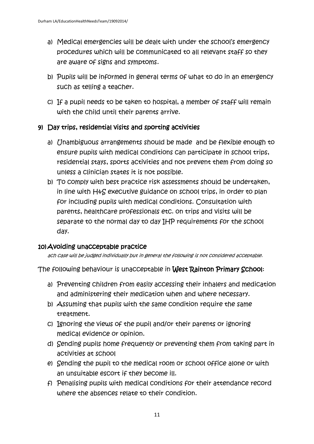- a) Medical emergencies will be dealt with under the school's emergency procedures which will be communicated to all relevant staff so they are aware of signs and symptoms.
- b) Pupils will be informed in general terms of what to do in an emergency such as telling a teacher.
- c) If a pupil needs to be taken to hospital, a member of staff will remain with the child until their parents arrive.

# 9) Day trips, residential visits and sporting activities

- a) Unambiguous arrangements should be made and be flexible enough to ensure pupils with medical conditions can participate in school trips, residential stays, sports activities and not prevent them from doing so unless a clinician states it is not possible.
- b) To comply with best practice risk assessments should be undertaken, in line with H&S executive guidance on school trips, in order to plan for including pupils with medical conditions. Consultation with parents, healthcare professionals etc. on trips and visits will be separate to the normal day to day IHP requirements for the school day.

# 10) Avoiding unacceptable practice

ach case will be judged individually but in general the following is not considered acceptable.

The following behaviour is unacceptable in West Rainton Primary School:

- a) Preventing children from easily accessing their inhalers and medication and administering their medication when and where necessary.
- b) Assuming that pupils with the same condition require the same treatment.
- c) Ignoring the views of the pupil and/or their parents or ignoring medical evidence or opinion.
- d) Sending pupils home frequently or preventing them from taking part in activities at school
- e) Sending the pupil to the medical room or school office alone or with an unsuitable escort if they become ill.
- f) Penalising pupils with medical conditions for their attendance record where the absences relate to their condition.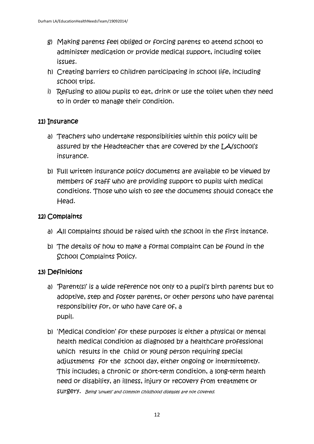- g) Making parents feel obliged or forcing parents to attend school to administer medication or provide medical support, including toilet issues.
- h) Creating barriers to children participating in school life, including school trips.
- i) Refusing to allow pupils to eat, drink or use the toilet when they need to in order to manage their condition.

# 11) Insurance

- a) Teachers who undertake responsibilities within this policy will be assured by the Headteacher that are covered by the LA/school's insurance.
- b) Full written insurance policy documents are available to be viewed by members of staff who are providing support to pupils with medical conditions. Those who wish to see the documents should contact the Head.

# 12) Complaints

- a) All complaints should be raised with the school in the first instance.
- b) The details of how to make a formal complaint can be found in the School Complaints Policy.

# 13) Definitions

- a) 'Parent(s)' is a wide reference not only to a pupil's birth parents but to adoptive, step and foster parents, or other persons who have parental responsibility for, or who have care of, a pupil.
- b) 'Medical condition' for these purposes is either a physical or mental health medical condition as diagnosed by a healthcare professional which results in the child or young person requiring special adjustments for the school day, either ongoing or intermittently. This includes; a chronic or short-term condition, a long-term health need or disability, an illness, injury or recovery from treatment or surgery. Being 'unwell' and common childhood diseases are not covered.